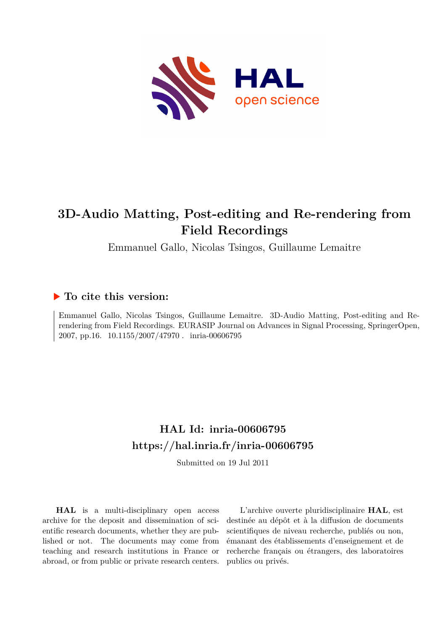

# **3D-Audio Matting, Post-editing and Re-rendering from Field Recordings**

Emmanuel Gallo, Nicolas Tsingos, Guillaume Lemaitre

# **To cite this version:**

Emmanuel Gallo, Nicolas Tsingos, Guillaume Lemaitre. 3D-Audio Matting, Post-editing and Rerendering from Field Recordings. EURASIP Journal on Advances in Signal Processing, SpringerOpen, 2007, pp.16.  $10.1155/2007/47970$ . inria-00606795

# **HAL Id: inria-00606795 <https://hal.inria.fr/inria-00606795>**

Submitted on 19 Jul 2011

**HAL** is a multi-disciplinary open access archive for the deposit and dissemination of scientific research documents, whether they are published or not. The documents may come from teaching and research institutions in France or abroad, or from public or private research centers.

L'archive ouverte pluridisciplinaire **HAL**, est destinée au dépôt et à la diffusion de documents scientifiques de niveau recherche, publiés ou non, émanant des établissements d'enseignement et de recherche français ou étrangers, des laboratoires publics ou privés.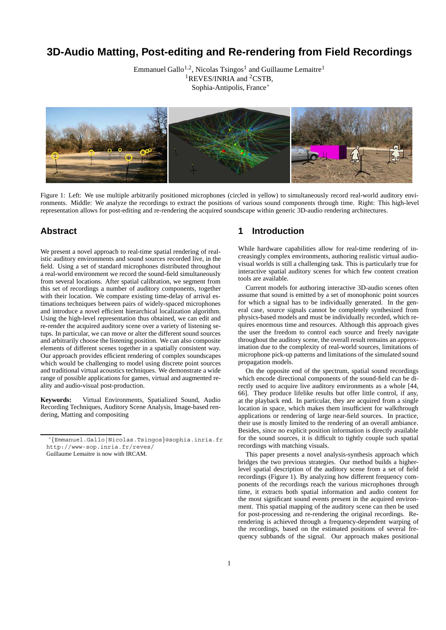# **3D-Audio Matting, Post-editing and Re-rendering from Field Recordings**

Emmanuel Gallo<sup>1,2</sup>, Nicolas Tsingos<sup>1</sup> and Guillaume Lemaitre<sup>1</sup> <sup>1</sup>REVES/INRIA and <sup>2</sup>CSTB, Sophia-Antipolis, France<sup>∗</sup>



Figure 1: Left: We use multiple arbitrarily positioned microphones (circled in yellow) to simultaneously record real-world auditory environments. Middle: We analyze the recordings to extract the positions of various sound components through time. Right: This high-level representation allows for post-editing and re-rendering the acquired soundscape within generic 3D-audio rendering architectures.

# **Abstract**

We present a novel approach to real-time spatial rendering of realistic auditory environments and sound sources recorded live, in the field. Using a set of standard microphones distributed throughout a real-world environment we record the sound-field simultaneously from several locations. After spatial calibration, we segment from this set of recordings a number of auditory components, together with their location. We compare existing time-delay of arrival estimations techniques between pairs of widely-spaced microphones and introduce a novel efficient hierarchical localization algorithm. Using the high-level representation thus obtained, we can edit and re-render the acquired auditory scene over a variety of listening setups. In particular, we can move or alter the different sound sources and arbitrarily choose the listening position. We can also composite elements of different scenes together in a spatially consistent way. Our approach provides efficient rendering of complex soundscapes which would be challenging to model using discrete point sources and traditional virtual acoustics techniques. We demonstrate a wide range of possible applications for games, virtual and augmented reality and audio-visual post-production.

**Keywords:** Virtual Environments, Spatialized Sound, Audio Recording Techniques, Auditory Scene Analysis, Image-based rendering, Matting and compositing

## **1 Introduction**

While hardware capabilities allow for real-time rendering of increasingly complex environments, authoring realistic virtual audiovisual worlds is still a challenging task. This is particularly true for interactive spatial auditory scenes for which few content creation tools are available.

Current models for authoring interactive 3D-audio scenes often assume that sound is emitted by a set of monophonic point sources for which a signal has to be individually generated. In the general case, source signals cannot be completely synthesized from physics-based models and must be individually recorded, which requires enormous time and resources. Although this approach gives the user the freedom to control each source and freely navigate throughout the auditory scene, the overall result remains an approximation due to the complexity of real-world sources, limitations of microphone pick-up patterns and limitations of the simulated sound propagation models.

On the opposite end of the spectrum, spatial sound recordings which encode directional components of the sound-field can be directly used to acquire live auditory environments as a whole [44, 66]. They produce lifelike results but offer little control, if any, at the playback end. In particular, they are acquired from a single location in space, which makes them insufficient for walkthrough applications or rendering of large near-field sources. In practice, their use is mostly limited to the rendering of an overall ambiance. Besides, since no explicit position information is directly available for the sound sources, it is difficult to tightly couple such spatial recordings with matching visuals.

This paper presents a novel analysis-synthesis approach which bridges the two previous strategies. Our method builds a higherlevel spatial description of the auditory scene from a set of field recordings (Figure 1). By analyzing how different frequency components of the recordings reach the various microphones through time, it extracts both spatial information and audio content for the most significant sound events present in the acquired environment. This spatial mapping of the auditory scene can then be used for post-processing and re-rendering the original recordings. Rerendering is achieved through a frequency-dependent warping of the recordings, based on the estimated positions of several frequency subbands of the signal. Our approach makes positional

<sup>∗</sup>*{*Emmanuel.Gallo|Nicolas.Tsingos*}*@sophia.inria.fr http://www-sop.inria.fr/reves/

Guillaume Lemaitre is now with IRCAM.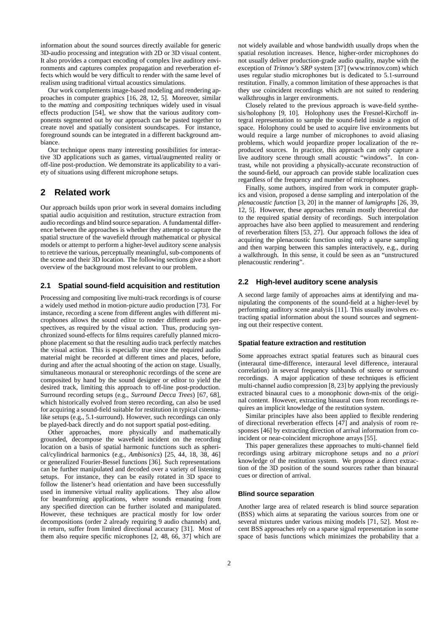information about the sound sources directly available for generic 3D-audio processing and integration with 2D or 3D visual content. It also provides a compact encoding of complex live auditory environments and captures complex propagation and reverberation effects which would be very difficult to render with the same level of realism using traditional virtual acoustics simulations.

Our work complements image-based modeling and rendering approaches in computer graphics [16, 28, 12, 5]. Moreover, similar to the *matting* and *compositing* techniques widely used in visual effects production [54], we show that the various auditory components segmented out by our approach can be pasted together to create novel and spatially consistent soundscapes. For instance, foreground sounds can be integrated in a different background ambiance.

Our technique opens many interesting possibilities for interactive 3D applications such as games, virtual/augmented reality or off-line post-production. We demonstrate its applicability to a variety of situations using different microphone setups.

# **2 Related work**

Our approach builds upon prior work in several domains including spatial audio acquisition and restitution, structure extraction from audio recordings and blind source separation. A fundamental difference between the approaches is whether they attempt to capture the spatial structure of the wavefield through mathematical or physical models or attempt to perform a higher-level auditory scene analysis to retrieve the various, perceptually meaningful, sub-components of the scene and their 3D location. The following sections give a short overview of the background most relevant to our problem.

#### **2.1 Spatial sound-field acquisition and restitution**

Processing and compositing live multi-track recordings is of course a widely used method in motion-picture audio production [73]. For instance, recording a scene from different angles with different microphones allows the sound editor to render different audio perspectives, as required by the visual action. Thus, producing synchronized sound-effects for films requires carefully planned microphone placement so that the resulting audio track perfectly matches the visual action. This is especially true since the required audio material might be recorded at different times and places, before, during and after the actual shooting of the action on stage. Usually, simultaneous monaural or stereophonic recordings of the scene are composited by hand by the sound designer or editor to yield the desired track, limiting this approach to off-line post-production. Surround recording setups (e.g., *Surround Decca Trees*) [67, 68], which historically evolved from stereo recording, can also be used for acquiring a sound-field suitable for restitution in typical cinemalike setups (e.g., 5.1-surround). However, such recordings can only be played-back directly and do not support spatial post-editing.

Other approaches, more physically and mathematically grounded, decompose the wavefield incident on the recording location on a basis of spatial harmonic functions such as spherical/cylindrical harmonics (e.g., *Ambisonics*) [25, 44, 18, 38, 46] or generalized Fourier-Bessel functions [36]. Such representations can be further manipulated and decoded over a variety of listening setups. For instance, they can be easily rotated in 3D space to follow the listener's head orientation and have been successfully used in immersive virtual reality applications. They also allow for beamforming applications, where sounds emanating from any specified direction can be further isolated and manipulated. However, these techniques are practical mostly for low order decompositions (order 2 already requiring 9 audio channels) and, in return, suffer from limited directional accuracy [31]. Most of them also require specific microphones [2, 48, 66, 37] which are not widely available and whose bandwidth usually drops when the spatial resolution increases. Hence, higher-order microphones do not usually deliver production-grade audio quality, maybe with the exception of *Trinnov's SRP* system [37] (www.trinnov.com) which uses regular studio microphones but is dedicated to 5.1-surround restitution. Finally, a common limitation of these approaches is that they use coincident recordings which are not suited to rendering walkthroughs in larger environments.

Closely related to the previous approach is wave-field synthesis/holophony [9, 10]. Holophony uses the Fresnel-Kirchoff integral representation to sample the sound-field inside a region of space. Holophony could be used to acquire live environments but would require a large number of microphones to avoid aliasing problems, which would jeopardize proper localization of the reproduced sources. In practice, this approach can only capture a live auditory scene through small acoustic "windows". In contrast, while not providing a physically-accurate reconstruction of the sound-field, our approach can provide stable localization cues regardless of the frequency and number of microphones.

Finally, some authors, inspired from work in computer graphics and vision, proposed a dense sampling and interpolation of the *plenacoustic function* [3, 20] in the manner of *lumigraphs* [26, 39, 12, 5]. However, these approaches remain mostly theoretical due to the required spatial density of recordings. Such interpolation approaches have also been applied to measurement and rendering of reverberation filters [53, 27]. Our approach follows the idea of acquiring the plenacoustic function using only a sparse sampling and then warping between this samples interactively, e.g., during a walkthrough. In this sense, it could be seen as an "unstructured plenacoustic rendering".

## **2.2 High-level auditory scene analysis**

A second large family of approaches aims at identifying and manipulating the components of the sound-field at a higher-level by performing auditory scene analysis [11]. This usually involves extracting spatial information about the sound sources and segmenting out their respective content.

#### **Spatial feature extraction and restitution**

Some approaches extract spatial features such as binaural cues (interaural time-difference, interaural level difference, interaural correlation) in several frequency subbands of stereo or surround recordings. A major application of these techniques is efficient multi-channel audio compression [8, 23] by applying the previously extracted binaural cues to a monophonic down-mix of the original content. However, extracting binaural cues from recordings requires an implicit knowledge of the restitution system.

Similar principles have also been applied to flexible rendering of directional reverberation effects [47] and analysis of room responses [46] by extracting direction of arrival information from coincident or near-coincident microphone arrays [55].

This paper generalizes these approaches to multi-channel field recordings using arbitrary microphone setups and no *a priori* knowledge of the restitution system. We propose a direct extraction of the 3D position of the sound sources rather than binaural cues or direction of arrival.

#### **Blind source separation**

Another large area of related research is blind source separation (BSS) which aims at separating the various sources from one or several mixtures under various mixing models [71, 52]. Most recent BSS approaches rely on a sparse signal representation in some space of basis functions which minimizes the probability that a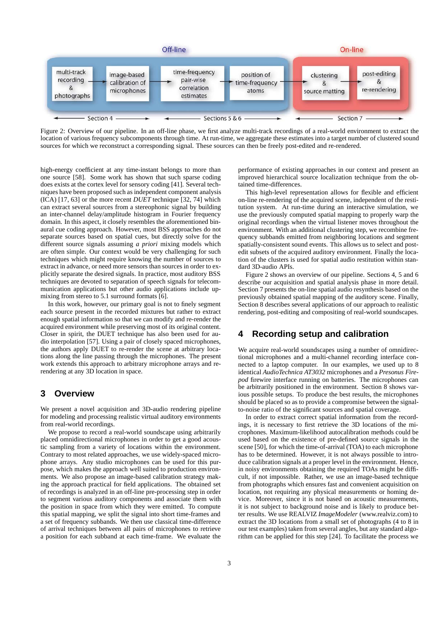

Figure 2: Overview of our pipeline. In an off-line phase, we first analyze multi-track recordings of a real-world environment to extract the location of various frequency subcomponents through time. At run-time, we aggregate these estimates into a target number of clustered sound sources for which we reconstruct a corresponding signal. These sources can then be freely post-edited and re-rendered.

high-energy coefficient at any time-instant belongs to more than one source [58]. Some work has shown that such sparse coding does exists at the cortex level for sensory coding [41]. Several techniques have been proposed such as independent component analysis (ICA) [17, 63] or the more recent *DUET* technique [32, 74] which can extract several sources from a stereophonic signal by building an inter-channel delay/amplitude histogram in Fourier frequency domain. In this aspect, it closely resembles the aforementioned binaural cue coding approach. However, most BSS approaches do not separate sources based on spatial cues, but directly solve for the different source signals assuming *a priori* mixing models which are often simple. Our context would be very challenging for such techniques which might require knowing the number of sources to extract in advance, or need more sensors than sources in order to explicitly separate the desired signals. In practice, most auditory BSS techniques are devoted to separation of speech signals for telecommunication applications but other audio applications include upmixing from stereo to 5.1 surround formats [6].

In this work, however, our primary goal is not to finely segment each source present in the recorded mixtures but rather to extract enough spatial information so that we can modify and re-render the acquired environment while preserving most of its original content. Closer in spirit, the DUET technique has also been used for audio interpolation [57]. Using a pair of closely spaced microphones, the authors apply DUET to re-render the scene at arbitrary locations along the line passing through the microphones. The present work extends this approach to arbitrary microphone arrays and rerendering at any 3D location in space.

# **3 Overview**

We present a novel acquisition and 3D-audio rendering pipeline for modeling and processing realistic virtual auditory environments from real-world recordings.

We propose to record a real-world soundscape using arbitrarily placed omnidirectional microphones in order to get a good acoustic sampling from a variety of locations within the environment. Contrary to most related approaches, we use widely-spaced microphone arrays. Any studio microphones can be used for this purpose, which makes the approach well suited to production environments. We also propose an image-based calibration strategy making the approach practical for field applications. The obtained set of recordings is analyzed in an off-line pre-processing step in order to segment various auditory components and associate them with the position in space from which they were emitted. To compute this spatial mapping, we split the signal into short time-frames and a set of frequency subbands. We then use classical time-difference of arrival techniques between all pairs of microphones to retrieve a position for each subband at each time-frame. We evaluate the performance of existing approaches in our context and present an improved hierarchical source localization technique from the obtained time-differences.

This high-level representation allows for flexible and efficient on-line re-rendering of the acquired scene, independent of the restitution system. At run-time during an interactive simulation, we use the previously computed spatial mapping to properly warp the original recordings when the virtual listener moves throughout the environment. With an additional clustering step, we recombine frequency subbands emitted from neighboring locations and segment spatially-consistent sound events. This allows us to select and postedit subsets of the acquired auditory environment. Finally the location of the clusters is used for spatial audio restitution within standard 3D-audio APIs.

Figure 2 shows an overview of our pipeline. Sections 4, 5 and 6 describe our acquisition and spatial analysis phase in more detail. Section 7 presents the on-line spatial audio resynthesis based on the previously obtained spatial mapping of the auditory scene. Finally, Section 8 describes several applications of our approach to realistic rendering, post-editing and compositing of real-world soundscapes.

# **4 Recording setup and calibration**

We acquire real-world soundscapes using a number of omnidirectional microphones and a multi-channel recording interface connected to a laptop computer. In our examples, we used up to 8 identical *AudioTechnica AT3032* microphones and a *Presonus Firepod* firewire interface running on batteries. The microphones can be arbitrarily positioned in the environment. Section 8 shows various possible setups. To produce the best results, the microphones should be placed so as to provide a compromise between the signalto-noise ratio of the significant sources and spatial coverage.

In order to extract correct spatial information from the recordings, it is necessary to first retrieve the 3D locations of the microphones. Maximum-likelihood autocalibration methods could be used based on the existence of pre-defined source signals in the scene [50], for which the time-of-arrival (TOA) to each microphone has to be determined. However, it is not always possible to introduce calibration signals at a proper level in the environment. Hence, in noisy environments obtaining the required TOAs might be difficult, if not impossible. Rather, we use an image-based technique from photographs which ensures fast and convenient acquisition on location, not requiring any physical measurements or homing device. Moreover, since it is not based on acoustic measurements, it is not subject to background noise and is likely to produce better results. We use REALVIZ *ImageModeler* (www.realviz.com) to extract the 3D locations from a small set of photographs (4 to 8 in our test examples) taken from several angles, but any standard algorithm can be applied for this step [24]. To facilitate the process we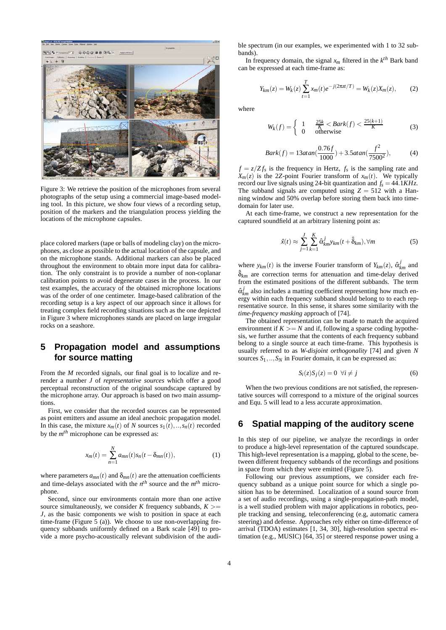

Figure 3: We retrieve the position of the microphones from several photographs of the setup using a commercial image-based modeling tool. In this picture, we show four views of a recording setup, position of the markers and the triangulation process yielding the locations of the microphone capsules.

place colored markers (tape or balls of modeling clay) on the microphones, as close as possible to the actual location of the capsule, and on the microphone stands. Additional markers can also be placed throughout the environment to obtain more input data for calibration. The only constraint is to provide a number of non-coplanar calibration points to avoid degenerate cases in the process. In our test examples, the accuracy of the obtained microphone locations was of the order of one centimeter. Image-based calibration of the recording setup is a key aspect of our approach since it allows for treating complex field recording situations such as the one depicted in Figure 3 where microphones stands are placed on large irregular rocks on a seashore.

# **5 Propagation model and assumptions for source matting**

From the *M* recorded signals, our final goal is to localize and rerender a number *J* of *representative sources* which offer a good perceptual reconstruction of the original soundscape captured by the microphone array. Our approach is based on two main assumptions.

First, we consider that the recorded sources can be represented as point emitters and assume an ideal anechoic propagation model. In this case, the mixture  $x_m(t)$  of *N* sources  $s_1(t),...,s_n(t)$  recorded by the *mth* microphone can be expressed as:

$$
x_m(t) = \sum_{n=1}^{N} a_{mn}(t)s_n(t - \delta_{mn}(t)),
$$
 (1)

where parameters  $a_{mn}(t)$  and  $\delta_{mn}(t)$  are the attenuation coefficients and time-delays associated with the  $n<sup>th</sup>$  source and the  $m<sup>th</sup>$  microphone.

Second, since our environments contain more than one active source simultaneously, we consider *K* frequency subbands,  $K \geq$ *J*, as the basic components we wish to position in space at each time-frame (Figure  $\overline{5}$  (a)). We choose to use non-overlapping frequency subbands uniformly defined on a Bark scale [49] to provide a more psycho-acoustically relevant subdivision of the audible spectrum (in our examples, we experimented with 1 to 32 subbands).

In frequency domain, the signal  $x_m$  filtered in the  $k^{th}$  Bark band can be expressed at each time-frame as:

$$
Y_{km}(z) = W_k(z) \sum_{t=1}^{T} x_m(t) e^{-j(2\pi z t/T)} = W_k(z) X_m(z), \quad (2)
$$

where

$$
W_k(f) = \begin{cases} 1 & \frac{25k}{K} < Bark(f) < \frac{25(k+1)}{K} \\ 0 & \text{otherwise} \end{cases} \tag{3}
$$

$$
Bark(f) = 13atan(\frac{0.76f}{1000}) + 3.5atan(\frac{f^2}{7500^2}),
$$
 (4)

 $f = z/Zf_s$  is the frequency in Hertz,  $f_s$  is the sampling rate and  $X_m(z)$  is the 2*Z*-point Fourier transform of  $x_m(t)$ . We typically record our live signals using 24-bit quantization and  $f_s = 44.1KHz$ . The subband signals are computed using  $Z = 512$  with a Hanning window and 50% overlap before storing them back into timedomain for later use.

At each time-frame, we construct a new representation for the captured soundfield at an arbitrary listening point as:

$$
\hat{x}(t) \approx \sum_{j=1}^{J} \sum_{k=1}^{K} \hat{\alpha}_{km}^{j} y_{km}(t + \hat{\delta}_{km}), \forall m
$$
\n(5)

where  $y_{km}(t)$  is the inverse Fourier transform of  $Y_{km}(z)$ ,  $\hat{\alpha}_{km}^{j}$  and  $\hat{\delta}_{km}$  are correction terms for attenuation and time-delay derived from the estimated positions of the different subbands. The term  $\hat{\alpha}_{km}^j$  also includes a matting coefficient representing how much energy within each frequency subband should belong to to each representative source. In this sense, it shares some similarity with the *time-frequency masking* approach of [74].

The obtained representation can be made to match the acquired environment if  $K \geq N$  and if, following a sparse coding hypothesis, we further assume that the contents of each frequency subband belong to a single source at each time-frame. This hypothesis is usually referred to as *W-disjoint orthogonality* [74] and given *N* sources  $S_1, \ldots, S_N$  in Fourier domain, it can be expressed as:

$$
S_i(z)S_j(z) = 0 \ \forall i \neq j \tag{6}
$$

When the two previous conditions are not satisfied, the representative sources will correspond to a mixture of the original sources and Equ. 5 will lead to a less accurate approximation.

# **6 Spatial mapping of the auditory scene**

In this step of our pipeline, we analyze the recordings in order to produce a high-level representation of the captured soundscape. This high-level representation is a mapping, global to the scene, between different frequency subbands of the recordings and positions in space from which they were emitted (Figure 5).

Following our previous assumptions, we consider each frequency subband as a unique point source for which a single position has to be determined. Localization of a sound source from a set of audio recordings, using a single-propagation-path model, is a well studied problem with major applications in robotics, people tracking and sensing, teleconferencing (e.g, automatic camera steering) and defense. Approaches rely either on time-difference of arrival (TDOA) estimates [1, 34, 30], high-resolution spectral estimation (e.g., MUSIC) [64, 35] or steered response power using a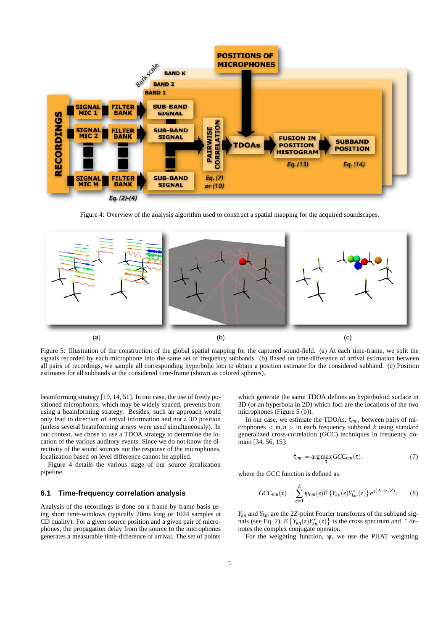

Figure 4: Overview of the analysis algorithm used to construct a spatial mapping for the acquired soundscapes.



Figure 5: Illustration of the construction of the global spatial mapping for the captured sound-field. (a) At each time-frame, we split the signals recorded by each microphone into the same set of frequency subbands. (b) Based on time-difference of arrival estimation between all pairs of recordings, we sample all corresponding hyperbolic loci to obtain a position estimate for the considered subband. (c) Position estimates for all subbands at the considered time-frame (shown as colored spheres).

beamforming strategy [19, 14, 51]. In our case, the use of freely positioned microphones, which may be widely spaced, prevents from using a beamforming strategy. Besides, such an approach would only lead to direction of arrival information and not a 3D position (unless several beamforming arrays were used simultaneously). In our context, we chose to use a TDOA strategy to determine the location of the various auditory events. Since we do not know the directivity of the sound sources nor the response of the microphones, localization based on level difference cannot be applied.

Figure 4 details the various stage of our source localization pipeline.

#### **6.1 Time-frequency correlation analysis**

Analysis of the recordings is done on a frame by frame basis using short time-windows (typically 20ms long or 1024 samples at CD quality). For a given source position and a given pair of microphones, the propagation delay from the source to the microphones generates a measurable time-difference of arrival. The set of points which generate the same TDOA defines an hyperboloid surface in 3D (or an hyperbola in 2D) which foci are the locations of the two microphones (Figure 5 (b)).

In our case, we estimate the TDOAs,  $\hat{\tau}_{mn}$ , between pairs of microphones  $\langle m, n \rangle$  in each frequency subband *k* using standard generalized cross-correlation (GCC) techniques in frequency domain [34, 56, 15]:

$$
\hat{\tau}_{mn} = \arg\max_{\tau} GCC_{mn}(\tau), \tag{7}
$$

where the GCC function is defined as:

$$
GCC_{nm}(\tau) = \sum_{z=1}^{Z} \Psi_{nm}(z) E\left\{ Y_{kn}(z) Y_{km}^*(z) \right\} e^{j(2\pi \tau z/Z)}.
$$
 (8)

 $Y_{kn}$  and  $Y_{km}$  are the 2*Z*-point Fourier transforms of the subband signals (see Eq. 2),  $E\left\{Y_{kn}(z)Y_{km}^*(z)\right\}$  is the cross spectrum and *.*\* denotes the complex conjugate operator.

For the weighting function,  $\psi$ , we use the PHAT weighting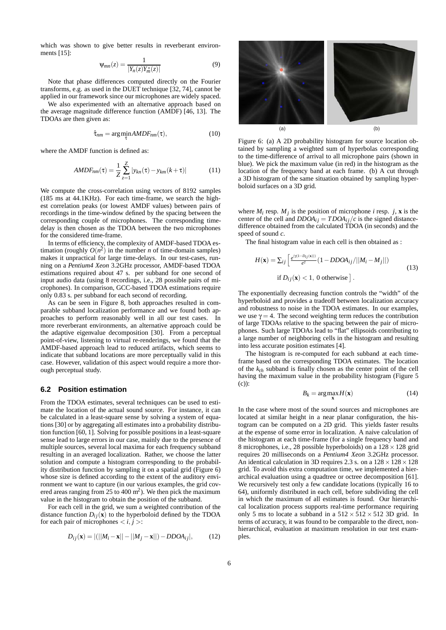which was shown to give better results in reverberant environments [15]:

$$
\Psi_{mn}(z) = \frac{1}{|Y_n(z)Y_m^*(z)|} \tag{9}
$$

Note that phase differences computed directly on the Fourier transforms, e.g. as used in the DUET technique [32, 74], cannot be applied in our framework since our microphones are widely spaced.

We also experimented with an alternative approach based on the average magnitude difference function (AMDF) [46, 13]. The TDOAs are then given as:

$$
\hat{\tau}_{nm} = \underset{\tau}{\arg\min} \, AMDF_{nm}(\tau), \tag{10}
$$

where the AMDF function is defined as:

$$
AMDF_{nm}(\tau) = \frac{1}{Z} \sum_{z=1}^{Z} |y_{kn}(\tau) - y_{km}(k+\tau)|
$$
 (11)

We compute the cross-correlation using vectors of 8192 samples (185 ms at 44.1KHz). For each time-frame, we search the highest correlation peaks (or lowest AMDF values) between pairs of recordings in the time-window defined by the spacing between the corresponding couple of microphones. The corresponding timedelay is then chosen as the TDOA between the two microphones for the considered time-frame.

In terms of efficiency, the complexity of AMDF-based TDOA estimation (roughly  $O(n^2)$  in the number *n* of time-domain samples) makes it unpractical for large time-delays. In our test-cases, running on a *Pentium4 Xeon* 3.2GHz processor, AMDF-based TDOA estimations required about 47 s. per subband for one second of input audio data (using 8 recordings, i.e., 28 possible pairs of microphones). In comparison, GCC-based TDOA estimations require only 0.83 s. per subband for each second of recording.

As can be seen in Figure 8, both approaches resulted in comparable subband localization performance and we found both approaches to perform reasonably well in all our test cases. In more reverberant environments, an alternative approach could be the adaptive eigenvalue decomposition [30]. From a perceptual point-of-view, listening to virtual re-renderings, we found that the AMDF-based approach lead to reduced artifacts, which seems to indicate that subband locations are more perceptually valid in this case. However, validation of this aspect would require a more thorough perceptual study.

#### **6.2 Position estimation**

From the TDOA estimates, several techniques can be used to estimate the location of the actual sound source. For instance, it can be calculated in a least-square sense by solving a system of equations [30] or by aggregating all estimates into a probability distribution function [60, 1]. Solving for possible positions in a least-square sense lead to large errors in our case, mainly due to the presence of multiple sources, several local maxima for each frequency subband resulting in an averaged localization. Rather, we choose the latter solution and compute a histogram corresponding to the probability distribution function by sampling it on a spatial grid (Figure 6) whose size is defined according to the extent of the auditory environment we want to capture (in our various examples, the grid covered areas ranging from 25 to 400  $\mathrm{m}^2$ ). We then pick the maximum value in the histogram to obtain the position of the subband.

For each cell in the grid, we sum a weighted contribution of the distance function  $D_{ij}(\mathbf{x})$  to the hyperboloid defined by the TDOA for each pair of microphones  $\langle i, j \rangle$ :

$$
D_{ij}(\mathbf{x}) = |(||M_i - \mathbf{x}|| - ||M_j - \mathbf{x}||) - DDOA_{ij}|,
$$
 (12)



Figure 6: (a) A 2D probability histogram for source location obtained by sampling a weighted sum of hyperbolas corresponding to the time-difference of arrival to all microphone pairs (shown in blue). We pick the maximum value (in red) in the histogram as the location of the frequency band at each frame. (b) A cut through a 3D histogram of the same situation obtained by sampling hyperboloid surfaces on a 3D grid.

where  $M_i$  resp.  $M_j$  is the position of microphone *i* resp. *j*, **x** is the center of the cell and  $DDOA_{ij} = TDOA_{ij}/c$  is the signed distancedifference obtained from the calculated TDOA (in seconds) and the speed of sound *c*.

The final histogram value in each cell is then obtained as :

$$
H(\mathbf{x}) = \sum_{ij} \left[ \frac{e^{(\gamma(1-D_{ij}(\mathbf{x})))}}{e^{\gamma}} (1 - DDOA_{ij}/||M_i - M_j||) \right]
$$
  
if  $D_{ij}(\mathbf{x}) < 1$ , 0 otherwise ]. (13)

The exponentially decreasing function controls the "width" of the hyperboloid and provides a tradeoff between localization accuracy and robustness to noise in the TDOA estimates. In our examples, we use  $\gamma = 4$ . The second weighting term reduces the contribution of large TDOAs relative to the spacing between the pair of microphones. Such large TDOAs lead to "flat" ellipsoids contributing to a large number of neighboring cells in the histogram and resulting into less accurate position estimates [4].

The histogram is re-computed for each subband at each timeframe based on the corresponding TDOA estimates. The location of the  $k_{th}$  subband is finally chosen as the center point of the cell having the maximum value in the probability histogram (Figure 5 (c)):

$$
B_k = \arg\max_{\mathbf{x}} H(\mathbf{x})
$$
 (14)

In the case where most of the sound sources and microphones are located at similar height in a near planar configuration, the histogram can be computed on a 2D grid. This yields faster results at the expense of some error in localization. A naive calculation of the histogram at each time-frame (for a single frequency band and 8 microphones, i.e., 28 possible hyperboloids) on a  $128 \times 128$  grid requires 20 milliseconds on a *Pentium4 Xeon* 3.2GHz processor. An identical calculation in 3D requires 2.3 s. on a  $128 \times 128 \times 128$ grid. To avoid this extra computation time, we implemented a hierarchical evaluation using a quadtree or octree decomposition [61]. We recursively test only a few candidate locations (typically 16 to 64), uniformly distributed in each cell, before subdividing the cell in which the maximum of all estimates is found. Our hierarchical localization process supports real-time performance requiring only 5 ms to locate a subband in a  $512 \times 512 \times 512$  3D grid. In terms of accuracy, it was found to be comparable to the direct, nonhierarchical, evaluation at maximum resolution in our test examples.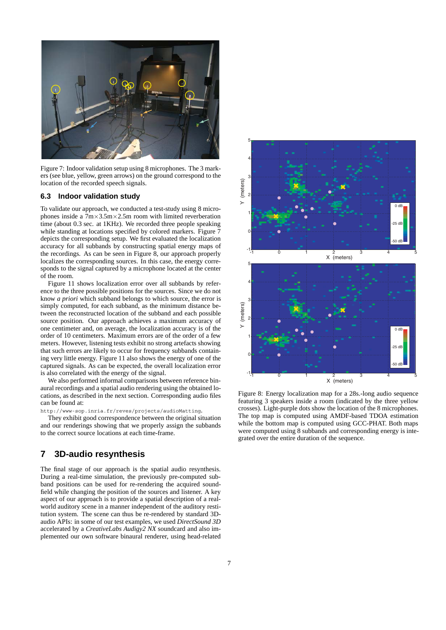

Figure 7: Indoor validation setup using 8 microphones. The 3 markers (see blue, yellow, green arrows) on the ground correspond to the location of the recorded speech signals.

#### **6.3 Indoor validation study**

To validate our approach, we conducted a test-study using 8 microphones inside a  $7m \times 3.5m \times 2.5m$  room with limited reverberation time (about 0.3 sec. at 1KHz). We recorded three people speaking while standing at locations specified by colored markers. Figure 7 depicts the corresponding setup. We first evaluated the localization accuracy for all subbands by constructing spatial energy maps of the recordings. As can be seen in Figure 8, our approach properly localizes the corresponding sources. In this case, the energy corresponds to the signal captured by a microphone located at the center of the room.

Figure 11 shows localization error over all subbands by reference to the three possible positions for the sources. Since we do not know *a priori* which subband belongs to which source, the error is simply computed, for each subband, as the minimum distance between the reconstructed location of the subband and each possible source position. Our approach achieves a maximum accuracy of one centimeter and, on average, the localization accuracy is of the order of 10 centimeters. Maximum errors are of the order of a few meters. However, listening tests exhibit no strong artefacts showing that such errors are likely to occur for frequency subbands containing very little energy. Figure 11 also shows the energy of one of the captured signals. As can be expected, the overall localization error is also correlated with the energy of the signal.

We also performed informal comparisons between reference binaural recordings and a spatial audio rendering using the obtained locations, as described in the next section. Corresponding audio files can be found at:

http://www-sop.inria.fr/reves/projects/audioMatting.

They exhibit good correspondence between the original situation and our renderings showing that we properly assign the subbands to the correct source locations at each time-frame.

# **7 3D-audio resynthesis**

The final stage of our approach is the spatial audio resynthesis. During a real-time simulation, the previously pre-computed subband positions can be used for re-rendering the acquired soundfield while changing the position of the sources and listener. A key aspect of our approach is to provide a spatial description of a realworld auditory scene in a manner independent of the auditory restitution system. The scene can thus be re-rendered by standard 3Daudio APIs: in some of our test examples, we used *DirectSound 3D* accelerated by a *CreativeLabs Audigy2 NX* soundcard and also implemented our own software binaural renderer, using head-related



Figure 8: Energy localization map for a 28s.-long audio sequence featuring 3 speakers inside a room (indicated by the three yellow crosses). Light-purple dots show the location of the 8 microphones. The top map is computed using AMDF-based TDOA estimation while the bottom map is computed using GCC-PHAT. Both maps were computed using 8 subbands and corresponding energy is integrated over the entire duration of the sequence.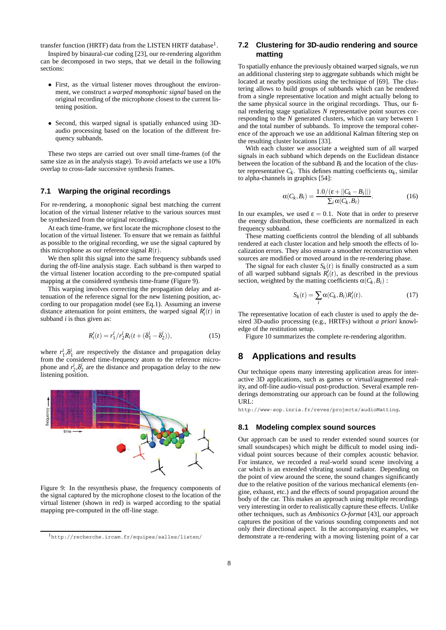transfer function (HRTF) data from the LISTEN HRTF database<sup>1</sup>.

Inspired by binaural-cue coding [23], our re-rendering algorithm can be decomposed in two steps, that we detail in the following sections:

- *•* First, as the virtual listener moves throughout the environment, we construct a *warped monophonic signal* based on the original recording of the microphone closest to the current listening position.
- *•* Second, this warped signal is spatially enhanced using 3Daudio processing based on the location of the different frequency subbands.

These two steps are carried out over small time-frames (of the same size as in the analysis stage). To avoid artefacts we use a 10% overlap to cross-fade successive synthesis frames.

#### **7.1 Warping the original recordings**

For re-rendering, a monophonic signal best matching the current location of the virtual listener relative to the various sources must be synthesized from the original recordings.

At each time-frame, we first locate the microphone closest to the location of the virtual listener. To ensure that we remain as faithful as possible to the original recording, we use the signal captured by this microphone as our reference signal  $R(t)$ .

We then split this signal into the same frequency subbands used during the off-line analysis stage. Each subband is then warped to the virtual listener location according to the pre-computed spatial mapping at the considered synthesis time-frame (Figure 9).

This warping involves correcting the propagation delay and attenuation of the reference signal for the new listening position, according to our propagation model (see Eq.1). Assuming an inverse distance attenuation for point emitters, the warped signal  $R'_i(t)$  in subband *i* is thus given as:

$$
R'_i(t) = r_1^i / r_2^i R_i(t + (\delta_1^i - \delta_2^i)),
$$
\n(15)

where  $r_1^i$ , $\delta_1^i$  are respectively the distance and propagation delay from the considered time-frequency atom to the reference microphone and  $r_2^i$ , $\delta_2^i$  are the distance and propagation delay to the new listening position.



Figure 9: In the resynthesis phase, the frequency components of the signal captured by the microphone closest to the location of the virtual listener (shown in red) is warped according to the spatial mapping pre-computed in the off-line stage.

# **7.2 Clustering for 3D-audio rendering and source matting**

To spatially enhance the previously obtained warped signals, we run an additional clustering step to aggregate subbands which might be located at nearby positions using the technique of [69]. The clustering allows to build groups of subbands which can be rendered from a single representative location and might actually belong to the same physical source in the original recordings. Thus, our final rendering stage spatializes *N* representative point sources corresponding to the *N* generated clusters, which can vary between 1 and the total number of subbands. To improve the temporal coherence of the approach we use an additional Kalman filtering step on the resulting cluster locations [33].

With each cluster we associate a weighted sum of all warped signals in each subband which depends on the Euclidean distance between the location of the subband  $B_i$  and the location of the cluster representative  $C_k$ . This defines matting coefficients  $\alpha_k$ , similar to alpha-channels in graphics [54]:

$$
\alpha(C_k, B_i) = \frac{1.0/(\varepsilon + ||C_k - B_i||)}{\sum_i \alpha(C_k, B_i)}.\tag{16}
$$

In our examples, we used  $\varepsilon = 0.1$ . Note that in order to preserve the energy distribution, these coefficients are normalized in each frequency subband.

These matting coefficients control the blending of all subbands rendered at each cluster location and help smooth the effects of localization errors. They also ensure a smoother reconstruction when sources are modified or moved around in the re-rendering phase.

The signal for each cluster  $S_k(t)$  is finally constructed as a sum of all warped subband signals  $R_i(t)$ , as described in the previous section, weighted by the matting coefficients  $\alpha(C_k, B_i)$ :

$$
S_k(t) = \sum_i \alpha(C_k, B_i) R'_i(t). \tag{17}
$$

The representative location of each cluster is used to apply the desired 3D-audio processing (e.g., HRTFs) without *a priori* knowledge of the restitution setup.

Figure 10 summarizes the complete re-rendering algorithm.

# **8 Applications and results**

Our technique opens many interesting application areas for interactive 3D applications, such as games or virtual/augmented reality, and off-line audio-visual post-production. Several example renderings demonstrating our approach can be found at the following URL:

http://www-sop.inria.fr/reves/projects/audioMatting.

### **8.1 Modeling complex sound sources**

Our approach can be used to render extended sound sources (or small soundscapes) which might be difficult to model using individual point sources because of their complex acoustic behavior. For instance, we recorded a real-world sound scene involving a car which is an extended vibrating sound radiator. Depending on the point of view around the scene, the sound changes significantly due to the relative position of the various mechanical elements (engine, exhaust, etc.) and the effects of sound propagation around the body of the car. This makes an approach using multiple recordings very interesting in order to realistically capture these effects. Unlike other techniques, such as *Ambisonics O-format* [43], our approach captures the position of the various sounding components and not only their directional aspect. In the accompanying examples, we demonstrate a re-rendering with a moving listening point of a car

<sup>1</sup>http://recherche.ircam.fr/equipes/salles/listen/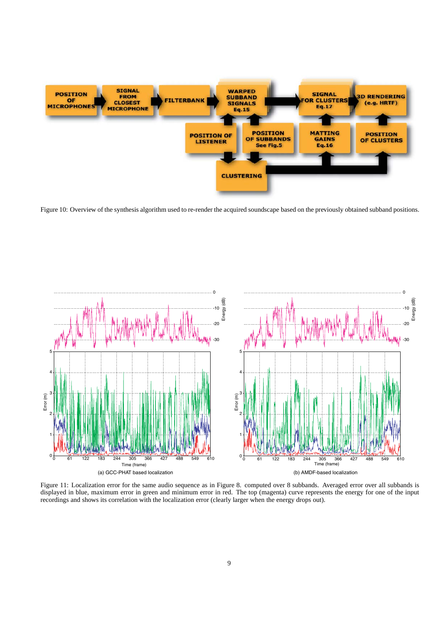

Figure 10: Overview of the synthesis algorithm used to re-render the acquired soundscape based on the previously obtained subband positions.



Figure 11: Localization error for the same audio sequence as in Figure 8. computed over 8 subbands. Averaged error over all subbands is displayed in blue, maximum error in green and minimum error in red. The top (magenta) curve represents the energy for one of the input recordings and shows its correlation with the localization error (clearly larger when the energy drops out).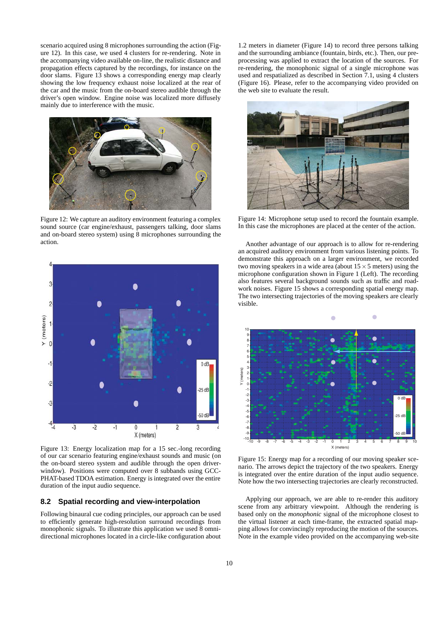scenario acquired using 8 microphones surrounding the action (Figure 12). In this case, we used 4 clusters for re-rendering. Note in the accompanying video available on-line, the realistic distance and propagation effects captured by the recordings, for instance on the door slams. Figure 13 shows a corresponding energy map clearly showing the low frequency exhaust noise localized at the rear of the car and the music from the on-board stereo audible through the driver's open window. Engine noise was localized more diffusely mainly due to interference with the music.



Figure 12: We capture an auditory environment featuring a complex sound source (car engine/exhaust, passengers talking, door slams and on-board stereo system) using 8 microphones surrounding the action.



Figure 13: Energy localization map for a 15 sec.-long recording of our car scenario featuring engine/exhaust sounds and music (on the on-board stereo system and audible through the open driverwindow). Positions were computed over 8 subbands using GCC-PHAT-based TDOA estimation. Energy is integrated over the entire duration of the input audio sequence.

#### **8.2 Spatial recording and view-interpolation**

Following binaural cue coding principles, our approach can be used to efficiently generate high-resolution surround recordings from monophonic signals. To illustrate this application we used 8 omnidirectional microphones located in a circle-like configuration about

1.2 meters in diameter (Figure 14) to record three persons talking and the surrounding ambiance (fountain, birds, etc.). Then, our preprocessing was applied to extract the location of the sources. For re-rendering, the monophonic signal of a single microphone was used and respatialized as described in Section 7.1, using 4 clusters (Figure 16). Please, refer to the accompanying video provided on the web site to evaluate the result.



Figure 14: Microphone setup used to record the fountain example. In this case the microphones are placed at the center of the action.

Another advantage of our approach is to allow for re-rendering an acquired auditory environment from various listening points. To demonstrate this approach on a larger environment, we recorded two moving speakers in a wide area (about  $15 \times 5$  meters) using the microphone configuration shown in Figure 1 (Left). The recording also features several background sounds such as traffic and roadwork noises. Figure 15 shows a corresponding spatial energy map. The two intersecting trajectories of the moving speakers are clearly visible.



Figure 15: Energy map for a recording of our moving speaker scenario. The arrows depict the trajectory of the two speakers. Energy is integrated over the entire duration of the input audio sequence. Note how the two intersecting trajectories are clearly reconstructed.

Applying our approach, we are able to re-render this auditory scene from any arbitrary viewpoint. Although the rendering is based only on the *monophonic* signal of the microphone closest to the virtual listener at each time-frame, the extracted spatial mapping allows for convincingly reproducing the motion of the sources. Note in the example video provided on the accompanying web-site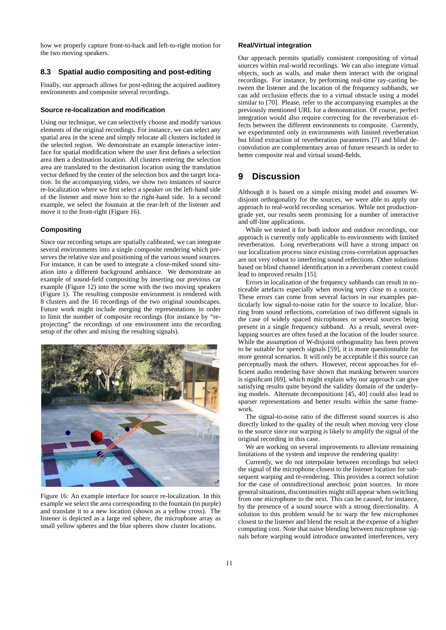how we properly capture front-to-back and left-to-right motion for the two moving speakers.

## **8.3 Spatial audio compositing and post-editing**

Finally, our approach allows for post-editing the acquired auditory environments and composite several recordings.

### **Source re-localization and modification**

Using our technique, we can selectively choose and modify various elements of the original recordings. For instance, we can select any spatial area in the scene and simply relocate all clusters included in the selected region. We demonstrate an example interactive interface for spatial modification where the user first defines a selection area then a destination location. All clusters entering the selection area are translated to the destination location using the translation vector defined by the center of the selection box and the target location. In the accompanying video, we show two instances of source re-localization where we first select a speaker on the left-hand side of the listener and move him to the right-hand side. In a second example, we select the fountain at the rear-left of the listener and move it to the front-right (Figure 16).

#### **Compositing**

Since our recording setups are spatially calibrated, we can integrate several environments into a single composite rendering which preserves the relative size and positioning of the various sound sources. For instance, it can be used to integrate a close-miked sound situation into a different background ambiance. We demonstrate an example of sound-field compositing by inserting our previous car example (Figure 12) into the scene with the two moving speakers (Figure 1). The resulting composite environment is rendered with 8 clusters and the 16 recordings of the two original soundscapes. Future work might include merging the representations in order to limit the number of composite recordings (for instance by "reprojecting" the recordings of one environment into the recording setup of the other and mixing the resulting signals).



Figure 16: An example interface for source re-localization. In this example we select the area corresponding to the fountain (in purple) and translate it to a new location (shown as a yellow cross). The listener is depicted as a large red sphere, the microphone array as small yellow spheres and the blue spheres show cluster locations.

#### **Real/Virtual integration**

Our approach permits spatially consistent compositing of virtual sources within real-world recordings. We can also integrate virtual objects, such as walls, and make them interact with the original recordings. For instance, by performing real-time ray-casting between the listener and the location of the frequency subbands, we can add occlusion effects due to a virtual obstacle using a model similar to [70]. Please, refer to the accompanying examples at the previously mentioned URL for a demonstration. Of course, perfect integration would also require correcting for the reverberation effects between the different environments to composite. Currently, we experimented only in environments with limited reverberation but blind extraction of reverberation parameters [7] and blind deconvolution are complementary areas of future research in order to better composite real and virtual sound-fields.

# **9 Discussion**

Although it is based on a simple mixing model and assumes Wdisjoint orthogonality for the sources, we were able to apply our approach to real-world recording scenarios. While not productiongrade yet, our results seem promising for a number of interactive and off-line applications.

While we tested it for both indoor and outdoor recordings, our approach is currently only applicable to environments with limited reverberation. Long reverberations will have a strong impact on our localization process since existing cross-correlation approaches are not very robust to interfering sound reflections. Other solutions based on blind channel identification in a reverberant context could lead to improved results [15].

Errors in localization of the frequency subbands can result in noticeable artefacts especially when moving very close to a source. These errors can come from several factors in our examples particularly low signal-to-noise ratio for the source to localize, blurring from sound reflections, correlation of two different signals in the case of widely spaced microphones or several sources being present in a single frequency subband. As a result, several overlapping sources are often fused at the location of the louder source. While the assumption of W-disjoint orthogonality has been proven to be suitable for speech signals [59], it is more questionnable for more general scenarios. It will only be acceptable if this source can perceptually mask the others. However, recent approaches for efficient audio rendering have shown that masking between sources is significant [69], which might explain why our approach can give satisfying results quite beyond the validity domain of the underlying models. Alternate decompositions [45, 40] could also lead to sparser representations and better results within the same framework.

The signal-to-noise ratio of the different sound sources is also directly linked to the quality of the result when moving very close to the source since our warping is likely to amplify the signal of the original recording in this case.

We are working on several improvements to alleviate remaining limitations of the system and improve the rendering quality:

Currently, we do not interpolate between recordings but select the signal of the microphone closest to the listener location for subsequent warping and re-rendering. This provides a correct solution for the case of omnidirectional anechoic point sources. In more general situations, discontinuities might still appear when switching from one microphone to the next. This can be caused, for instance, by the presence of a sound source with a strong directionality. A solution to this problem would be to warp the few microphones closest to the listener and blend the result at the expense of a higher computing cost. Note that naive blending between microphone signals before warping would introduce unwanted interferences, very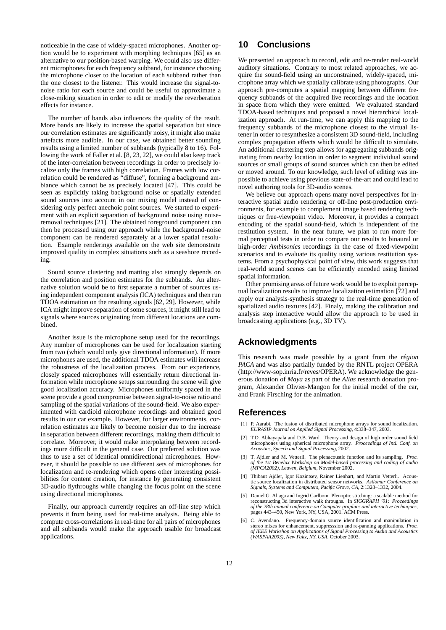noticeable in the case of widely-spaced microphones. Another option would be to experiment with morphing techniques [65] as an alternative to our position-based warping. We could also use different microphones for each frequency subband, for instance choosing the microphone closer to the location of each subband rather than the one closest to the listener. This would increase the signal-tonoise ratio for each source and could be useful to approximate a close-miking situation in order to edit or modify the reverberation effects for instance.

The number of bands also influences the quality of the result. More bands are likely to increase the spatial separation but since our correlation estimates are significantly noisy, it might also make artefacts more audible. In our case, we obtained better sounding results using a limited number of subbands (typically 8 to 16). Following the work of Faller et al. [8, 23, 22], we could also keep track of the inter-correlation between recordings in order to precisely localize only the frames with high correlation. Frames with low correlation could be rendered as "diffuse", forming a background ambiance which cannot be as precisely located [47]. This could be seen as explicitly taking background noise or spatially extended sound sources into account in our mixing model instead of considering only perfect anechoic point sources. We started to experiment with an explicit separation of background noise using noiseremoval techniques [21]. The obtained foreground component can then be processed using our approach while the background-noise component can be rendered separately at a lower spatial resolution. Example renderings available on the web site demonstrate improved quality in complex situations such as a seashore recording.

Sound source clustering and matting also strongly depends on the correlation and position estimates for the subbands. An alternative solution would be to first separate a number of sources using independent component analysis (ICA) techniques and then run TDOA estimation on the resulting signals [62, 29]. However, while ICA might improve separation of some sources, it might still lead to signals where sources originating from different locations are combined.

Another issue is the microphone setup used for the recordings. Any number of microphones can be used for localization starting from two (which would only give directional information). If more microphones are used, the additional TDOA estimates will increase the robustness of the localization process. From our experience, closely spaced microphones will essentially return directional information while microphone setups surrounding the scene will give good localization accuracy. Microphones uniformly spaced in the scene provide a good compromise between signal-to-noise ratio and sampling of the spatial variations of the sound-field. We also experimented with cardioid microphone recordings and obtained good results in our car example. However, for larger environments, correlation estimates are likely to become noisier due to the increase in separation between different recordings, making them difficult to correlate. Moreover, it would make interpolating between recordings more difficult in the general case. Our preferred solution was thus to use a set of identical omnidirectional microphones. However, it should be possible to use different sets of microphones for localization and re-rendering which opens other interesting possibilities for content creation, for instance by generating consistent 3D-audio flythroughs while changing the focus point on the scene using directional microphones.

Finally, our approach currently requires an off-line step which prevents it from being used for real-time analysis. Being able to compute cross-correlations in real-time for all pairs of microphones and all subbands would make the approach usable for broadcast applications.

# **10 Conclusions**

We presented an approach to record, edit and re-render real-world auditory situations. Contrary to most related approaches, we acquire the sound-field using an unconstrained, widely-spaced, microphone array which we spatially calibrate using photographs. Our approach pre-computes a spatial mapping between different frequency subbands of the acquired live recordings and the location in space from which they were emitted. We evaluated standard TDOA-based techniques and proposed a novel hierarchical localization approach. At run-time, we can apply this mapping to the frequency subbands of the microphone closest to the virtual listener in order to resynthesize a consistent 3D sound-field, including complex propagation effects which would be difficult to simulate. An additional clustering step allows for aggregating subbands originating from nearby location in order to segment individual sound sources or small groups of sound sources which can then be edited or moved around. To our knowledge, such level of editing was impossible to achieve using previous state-of-the-art and could lead to novel authoring tools for 3D-audio scenes.

We believe our approach opens many novel perspectives for interactive spatial audio rendering or off-line post-production environments, for example to complement image based rendering techniques or free-viewpoint video. Moreover, it provides a compact encoding of the spatial sound-field, which is independent of the restitution system. In the near future, we plan to run more formal perceptual tests in order to compare our results to binaural or high-order *Ambisonics* recordings in the case of fixed-viewpoint scenarios and to evaluate its quality using various restitution systems. From a psychophysical point of view, this work suggests that real-world sound scenes can be efficiently encoded using limited spatial information.

Other promising areas of future work would be to exploit perceptual localization results to improve localization estimation [72] and apply our analysis-synthesis strategy to the real-time generation of spatialized audio textures [42]. Finaly, making the calibration and analysis step interactive would allow the approach to be used in broadcasting applications (e.g., 3D TV).

# **Acknowledgments**

This research was made possible by a grant from the *région PACA* and was also partially funded by the RNTL project OPERA (http://www-sop.inria.fr/reves/OPERA). We acknowledge the generous donation of *Maya* as part of the *Alias* research donation program, Alexander Olivier-Mangon for the initial model of the car, and Frank Firsching for the animation.

# **References**

- [1] P. Aarabi. The fusion of distributed microphone arrays for sound localization. *EURASIP Journal on Applied Signal Processing*, 4:338–347, 2003.
- [2] T.D. Abhayapala and D.B. Ward. Theory and design of high order sound field microphones using spherical microphone array. *Proceedings of Intl. Conf. on Acoustics, Speech and Signal Processing*, 2002.
- [3] T. Ajdler and M. Vetterli. The plenacoustic function and its sampling. *Proc. of the 1st Benelux Workshop on Model-based processing and coding of audio (MPCA2002), Leuven, Belgium*, November 2002.
- [4] Thibaut Ajdler, Igor Kozintsev, Rainer Lienhart, and Martin Vetterli. Acoustic source localization in distributed sensor networks. *Asilomar Conference on Signals, Systems and Computers, Pacific Grove, CA*, 2:1328–1332, 2004.
- [5] Daniel G. Aliaga and Ingrid Carlbom. Plenoptic stitching: a scalable method for reconstructing 3d interactive walk throughs. In *SIGGRAPH '01: Proceedings of the 28th annual conference on Computer graphics and interactive techniques*, pages 443–450, New York, NY, USA, 2001. ACM Press.
- [6] C. Avendano. Frequency-domain source identification and manipulation in stereo mixes for enhancement, suppresssion and re-panning applications. *Proc. of IEEE Workshop on Applications of Signal Processing to Audio and Acoustics (WASPAA2003), New Paltz, NY, USA*, October 2003.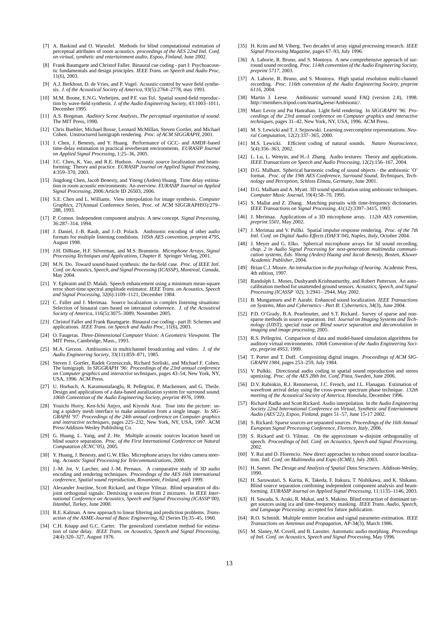- [7] A. Baskind and O. Warusfel. Methods for blind computational estimation of perceptual attributes of room acoustics. *proceedings of the AES 22nd Intl. Conf. on virtual, synthetic and entertainment audio, Espoo, Finland*, June 2002.
- [8] Frank Baumgarte and Christof Faller. Binaural cue coding part I: Psychoacoustic fundamentals and design principles. *IEEE Trans. on Speech and Audio Proc*, 11(6), 2003.
- [9] A.J. Berkhout, D. de Vries, and P. Vogel. Acoustic control by wave field synthesis. *J. of the Acoustical Society of America*, 93(5):2764–2778, may 1993.
- [10] M.M. Boone, E.N.G. Verheijen, and P.F. van Tol. Spatial sound-field reproduc-tion by wave-field synthesis. *J. of the Audio Engineering Society*, 43:1003–1011, December 1995.
- [11] A.S. Bregman. *Auditory Scene Analysis, The perceptual organization of sound*. The MIT Press, 1990.
- [12] Chris Buehler, Michael Bosse, Leonard McMillan, Steven Gortler, and Michael Cohen. Unstructured lumigraph rendering. *Proc. of ACM SIGGRAPH*, 2001.
- [13] J. Chen, J. Benesty, and Y. Huang. Performance of GCC- and AMDF-based time-delay estimation in practical reverberant environments. *EURASIP Journal on Applied Signal Processing*, 1:25–36, 2005.
- [14] J.C. Chen, K. Yao, and R.E. Hudson. Acoustic source localization and beam-forming: Theory and practice. *EURASIP Journal on Applied Signal Processing*, 4:359–370, 2003.
- [15] Jingdong Chen, Jacob Benesty, and Yiteng (Arden) Huang. Time delay estima-tion in room acoustic environments: An overview. *EURASIP Journal on Applied Signal Processing*, 2006:Article ID 26503, 2006.
- [16] S.E. Chen and L. Williams. View interpolation for image synthesis. *Computer Graphics*, 27(Annual Conference Series, Proc. of ACM SIGGRAPH93):279– 288, 1993.
- [17] P. Comon. Independent component analysis: A new concept. *Signal Processing*, 36:287–314, 1994.
- [18] J. Daniel, J.-B. Rault, and J.-D. Polack. Ambisonic encoding of other audio formats for multiple listening conditions. *105th AES convention, preprint 4795*, August 1998.
- [19] J.H. DiBiase, H.F. Silverman, and M.S. Branstein. *Microphone Arrays, Signal Processing Techniques and Applications, Chapter 8*. Springer Verlag, 2001.
- [20] M.N. Do. Toward sound-based synthesis: the far-field case. *Proc. of IEEE Intl. Conf. on Acoustics, Speech, and Signal Processing (ICASSP), Montreal, Canada*, May 2004.
- [21] Y. Ephraim and D. Malah. Speech enhancement using a minimum mean-square error short-time spectral amplitude estimator. *IEEE Trans. on Acoustics, Speech and Signal Processing*, 32(6):1109–1121, December 1984.
- [22] C. Faller and J. Merimaa. Source localization in complex listening situations: Selection of binaural cues based on interaural coherence. *J. of the Acoustical Society of America*, 116(5):3075–3089, November 2005.
- [23] Christof Faller and Frank Baumgarte. Binaural cue coding part II: Schemes and applications. *IEEE Trans. on Speech and Audio Proc*, 11(6), 2003.
- [24] O. Faugeras. *Three-Dimensional Computer Vision: A Geometric Viewpoint*. The MIT Press, Cambridge, Mass., 1993.
- [25] M.A. Gerzon. Ambisonics in multichannel broadcasting and video. *J. of the Audio Engineering Society*, 33(11):859–871, 1985.
- [26] Steven J. Gortler, Radek Grzeszczuk, Richard Szeliski, and Michael F. Cohen. The lumigraph. In *SIGGRAPH '96: Proceedings of the 23rd annual conference on Computer graphics and interactive techniques*, pages 43–54, New York, NY, USA, 1996. ACM Press.
- [27] U. Horbach, A. Karamustafaoglu, R. Pellegrini, P. Mackensen, and G. Theile. Design and applications of a data-based auralization system for surround sound. *106th Convention of the Audio Engineering Society, preprint 4976*, 1999.
- [28] Youichi Horry, Ken-Ichi Anjyo, and Kiyoshi Arai. Tour into the picture: using a spidery mesh interface to make animation from a single image. In SIG-<br>GRAPH '97: Proceedings of the 24th annual conference on Computer gr *and interactive techniques*, pages 225–232, New York, NY, USA, 1997. ACM Press/Addison-Wesley Publishing Co.
- [29] G. Huang, L. Yang, and Z. He. Multiple acoustic sources location based on blind source separation. *Proc. of the First International Conference on Natural Computation (ICNC'05)*, 2005.
- [30] Y. Huang, J. Benesty, and G.W. Elko. Microphone arrays for video camera steering. *Acoustic Signal Processing for Telecommunications*, 2000.
- [31] J.-M. Jot, V. Larcher, and J.-M. Pernaux. A comparative study of 3D audio encoding and rendering techniques. *Proceedings of the AES 16th international conference, Spatial sound reproduction, Rovaniemi, Finland*, april 1999.
- [32] Alexander Jourjine, Scott Rickard, and Ozgur Yilmaz. Blind separation of dis-joint orthogonal signals: Demixing n sources from 2 mixtures. In *IEEE International Conference on Acoustics, Speech and Signal Processing (ICASSP'00), Istanbul, Turkey*, June 2000.
- [33] R.E. Kalman. A new approach to linear filtering and prediction problems. *Transaction of the ASME-Journal of Basic Engineering*, 82 (Series D):35–45, 1960.
- [34] C.H. Knapp and G.C. Carter. The generalized correlation method for estimation of time delay. *IEEE Trans. on Acoustics, Speech and Signal Processing*, 24(4):320–327, August 1976.
- [35] H. Krim and M. Viberg. Two decades of array signal processing research. *IEEE Signal Processing Magazine*, pages 67–93, July 1996.
- [36] A. Laborie, R. Bruno, and S. Montoya. A new comprehensive approach of sur-round sound recording. *Proc. 114th convention of the Audio Engineering Society, preprint 5717*, 2003.
- [37] A. Laborie, R. Bruno, and S. Montoya. High spatial resolution multi-channel recording. *Proc. 116th convention of the Audio Engineering Society, preprint 6116*, 2004.
- [38] Martin J. Leese. Ambisonic surround sound FAQ (version 2.8), 1998. http://members.tripod.com/martin\_leese/Ambisonic/.
- [39] Marc Levoy and Pat Hanrahan. Light field rendering. In *SIGGRAPH '96: Proceedings of the 23rd annual conference on Computer graphics and interactive techniques*, pages 31–42, New York, NY, USA, 1996. ACM Press.
- [40] M. S. Lewicki and T. J. Sejnowski. Learning overcomplete representations. *Neu-ral Computation*, 12(2):337–365, 2000.
- [41] M.S. Lewicki. Efficient coding of natural sounds. *Nature Neuroscience*, 5(4):356–363, 2002.
- [42] L. Lu, L. Wenyin, and H.-J. Zhang. Audio textures: Theory and applications. *IEEE Transactions on Speech and Audio Processing*, 12(2):156–167, 2004.
- [43]  $D.G.$  Malham. Spherical harmonic coding of sound objects the ambisonic 'O' format. *Proc. of the 19th AES Conference, Surround Sound, Techniques, Technology and Perception, Schloss Elmau, Germany*, June 2001.
- [44] D.G. Malham and A. Myatt. 3D sound spatialization using ambisonic techniques. *Computer Music Journal*, 19(4):58–70, 1995.
- [45] S. Mallat and Z. Zhang. Matching pursuits with time-frequency dictionaries. *IEEE Transactions on Signal Processing*, 41(12):3397–3415, 1993.
- [46] J. Merimaa. Applications of a 3D microphone array. *112th AES convention, preprint 5501*, May 2002.
- [47] J. Merimaa and V. Pullki. Spatial impulse response rendering. *Proc. of the 7th Intl. Conf. on Digital Audio Effects (DAFX'04), Naples, Italy*, October 2004.
- [48] J. Meyer and G. Elko. Spherical microphone arrays for 3d sound recording. *chap. 2 in Audio Signal Processing for next-generation multimedia communication systems, Eds. Yiteng (Arden) Huang and Jacob Benesty, Bosten, Kluwer Academic Publisher*, 2004.
- [49] Brian C.J. Moore. *An introduction to the psychology of hearing*. Academic Press, 4th edition, 1997.
- [50] Randolph L. Moses, Dushyanth Krishnamurthy, and Robert Patterson. An autocalibration method for unattended ground sensors. *Acoustics, Speech, and Signal Processing (ICASSP '02)*, 3:2941– 2944, May 2002.
- [51] B. Mungamuru and P. Aarabi. Enhanced sound localization. *IEEE Transactions on Systems, Man and Cybernetics - Part B: Cybernetics*, 34(3), June 2004.
- [52] P.D. O'Grady, B.A. Pearlmutter, and S.T. Rickard. Survey of sparse and nonsparse methods in source separation. *Intl. Journal on Imaging Systems and Technology (IJIST), special issue on Blind source separation and deconvolution in imaging and image processing*, 2005.
- [53] R.S. Pellegrini. Comparison of data and model-based simulation algorithms for auditory virtual environments. *106th Convention of the Audio Engineering Soci-ety, preprint 4953*, 1999.
- [54] T. Porter and T. Duff. Compositing digital images. *Proceedings of ACM SIG-GRAPH 1984*, pages 253–259, July 1984.
- [55] V. Pulkki. Directional audio coding in spatial sound reproduction and stereo upmixing. *Proc. of the AES 28th Int. Conf, Pitea, Sweden*, June 2006.
- [56] D.V. Rabinkin, R.J. Renomeron, J.C. French, and J.L. Flanagan. Estimation of wavefront arrival delay using the cross-power spectrum phase technique. *132th meeting of the Acoustical Society of America, Honolulu*, December 1996.
- [57] Richard Radke and Scott Rickard. Audio interpolation. In *the Audio Engineering Society 22nd International Conference on Virtual, Synthetic and Entertainment Audio (AES'22), Espoo, Finland*, pages 51–57, June 15-17 2002.
- [58] S. Rickard. Sparse sources are separated sources. *Proceedings of the 16th Annual European Signal Processing Conference, Florence, Italy*, 2006.
- [59] S. Rickard and O. Yilmaz. On the approximate w-disjoint orthogonality of speech. *Proceedings of Intl. Conf. on Acoustics, Speech and Signal Processing*, 2002.
- [60] Y. Rui and D. Florencio. New direct approaches to robust sound source localiza-tion. *Intl. Conf. on Multimedia and Expo (ICME)*, July 2003.
- [61] H. Samet. *The Design and Analysis of Spatial Data Structures*. Addison-Wesley, 1990.
- [62] H. Saruwatari, S. Kurita, K. Takeda, F. Itakura, T. Nishikawa, and K. Shikano. Blind source separation combining independent component analysis and beam-forming. *EURASIP Journal on Applied Signal Processing*, 11:1135–1146, 2003.
- [63] H. Sawada, S. Araki, R. Mukai, and S. Makino. Blind extraction of dominant tar-get sources using ica and time-frequency masking. *IEEE Trans. Audio, Speech, and Language Processing*. accepted for future publication.
- [64] R.O. Schmidt. Multiple emitter location and signal parameter estimation. *IEEE Transactions on Antennas and Propagation*, AP-34(3), March 1986.
- [65] M. Slaney, M. Covell, and B. Lassiter. Automatic audio morphing. *Proceedings of Intl. Conf. on Acoustics, Speech and Signal Processing*, May 1996.